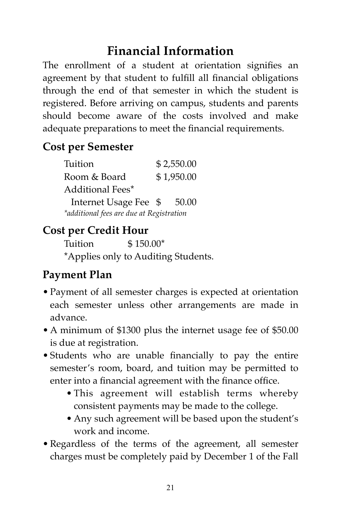### **Financial Information**

The enrollment of a student at orientation signifies an agreement by that student to fulfill all financial obligations through the end of that semester in which the student is registered. Before arriving on campus, students and parents should become aware of the costs involved and make adequate preparations to meet the financial requirements.

#### **Cost per Semester**

| Tuition                                  |            | \$2,550.00 |  |
|------------------------------------------|------------|------------|--|
| Room & Board                             | \$1,950.00 |            |  |
| Additional Fees*                         |            |            |  |
| Internet Usage Fee \$                    |            | 50.00      |  |
| *additional fees are due at Registration |            |            |  |

#### **Cost per Credit Hour**

Tuition \$ 150.00\* \*Applies only to Auditing Students.

#### **Payment Plan**

- Payment of all semester charges is expected at orientation each semester unless other arrangements are made in advance.
- A minimum of \$1300 plus the internet usage fee of \$50.00 is due at registration.
- Students who are unable financially to pay the entire semester's room, board, and tuition may be permitted to enter into a financial agreement with the finance office.
	- This agreement will establish terms whereby consistent payments may be made to the college.
	- Any such agreement will be based upon the student's work and income.
- Regardless of the terms of the agreement, all semester charges must be completely paid by December 1 of the Fall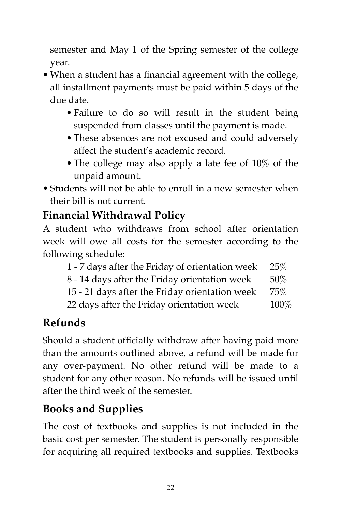semester and May 1 of the Spring semester of the college year.

- When a student has a financial agreement with the college, all installment payments must be paid within 5 days of the due date.
	- Failure to do so will result in the student being suspended from classes until the payment is made.
	- These absences are not excused and could adversely affect the student's academic record.
	- The college may also apply a late fee of 10% of the unpaid amount.
- Students will not be able to enroll in a new semester when their bill is not current.

#### **Financial Withdrawal Policy**

A student who withdraws from school after orientation week will owe all costs for the semester according to the following schedule:

| 1 - 7 days after the Friday of orientation week | <b>25%</b> |
|-------------------------------------------------|------------|
| 8 - 14 days after the Friday orientation week   | $50\%$     |
| 15 - 21 days after the Friday orientation week  | 75%        |
| 22 days after the Friday orientation week       | 100%       |

# **Refunds**

Should a student officially withdraw after having paid more than the amounts outlined above, a refund will be made for any over-payment. No other refund will be made to a student for any other reason. No refunds will be issued until after the third week of the semester.

# **Books and Supplies**

The cost of textbooks and supplies is not included in the basic cost per semester. The student is personally responsible for acquiring all required textbooks and supplies. Textbooks